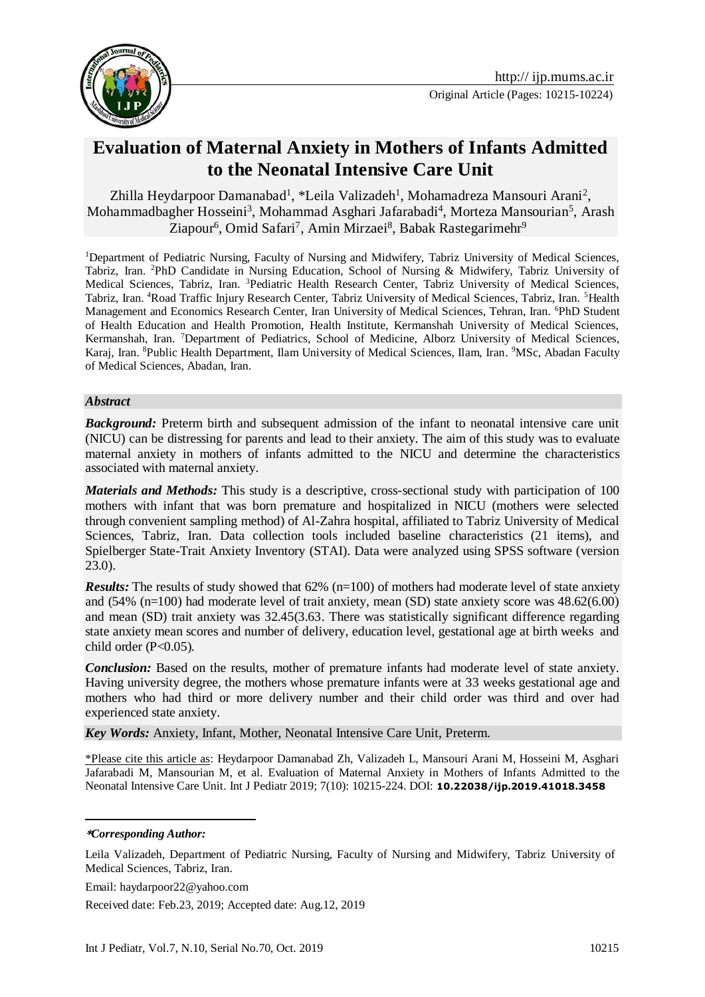



# **Evaluation of Maternal Anxiety in Mothers of Infants Admitted to the Neonatal Intensive Care Unit**

Zhilla Heydarpoor Damanabad<sup>1</sup>, \*Leila Valizadeh<sup>1</sup>, Mohamadreza Mansouri Arani<sup>2</sup>, Mohammadbagher Hosseini<sup>3</sup>, Mohammad Asghari Jafarabadi<sup>4</sup>, Morteza Mansourian<sup>5</sup>, Arash Ziapour<sup>6</sup>, Omid Safari<sup>7</sup>, Amin Mirzaei<sup>8</sup>, Babak Rastegarimehr<sup>9</sup>

<sup>1</sup>Department of Pediatric Nursing, Faculty of Nursing and Midwifery, Tabriz University of Medical Sciences, Tabriz, Iran. <sup>2</sup>PhD Candidate in Nursing Education, School of Nursing & Midwifery, Tabriz University of Medical Sciences, Tabriz, Iran. <sup>3</sup>Pediatric Health Research Center, Tabriz University of Medical Sciences, Tabriz, Iran. <sup>4</sup>Road Traffic Injury Research Center, Tabriz University of Medical Sciences, Tabriz, Iran. <sup>5</sup>Health Management and Economics Research Center, Iran University of Medical Sciences, Tehran, Iran. <sup>6</sup>PhD Student of Health Education and Health Promotion, Health Institute, Kermanshah University of Medical Sciences, Kermanshah, Iran. <sup>7</sup>Department of Pediatrics, School of Medicine, Alborz University of Medical Sciences, Karaj, Iran. <sup>8</sup>Public Health Department, Ilam University of Medical Sciences, Ilam, Iran. <sup>9</sup>MSc, Abadan Faculty of Medical Sciences, Abadan, Iran.

#### *Abstract*

**Background:** Preterm birth and subsequent admission of the infant to neonatal intensive care unit (NICU) can be distressing for parents and lead to their anxiety. The aim of this study was to evaluate maternal anxiety in mothers of infants admitted to the NICU and determine the characteristics associated with maternal anxiety.

*Materials and Methods:* This study is a descriptive, cross-sectional study with participation of 100 mothers with infant that was born premature and hospitalized in NICU (mothers were selected through convenient sampling method) of Al-Zahra hospital, affiliated to Tabriz University of Medical Sciences, Tabriz, Iran. Data collection tools included baseline characteristics (21 items), and Spielberger State-Trait Anxiety Inventory (STAI). Data were analyzed using SPSS software (version 23.0).

*Results:* The results of study showed that 62% (n=100) of mothers had moderate level of state anxiety and (54% (n=100) had moderate level of trait anxiety, mean (SD) state anxiety score was 48.62(6.00) and mean (SD) trait anxiety was 32.45(3.63. There was statistically significant difference regarding state anxiety mean scores and number of delivery, education level, gestational age at birth weeks and child order (P<0.05).

*Conclusion:* Based on the results, mother of premature infants had moderate level of state anxiety. Having university degree, the mothers whose premature infants were at 33 weeks gestational age and mothers who had third or more delivery number and their child order was third and over had experienced state anxiety.

*Key Words:* Anxiety, Infant, Mother, Neonatal Intensive Care Unit, Preterm.

\*Please cite this article as: Heydarpoor Damanabad Zh, Valizadeh L, Mansouri Arani M, Hosseini M, Asghari Jafarabadi M, Mansourian M, et al. Evaluation of Maternal Anxiety in Mothers of Infants Admitted to the Neonatal Intensive Care Unit. Int J Pediatr 2019; 7(10): 10215-224. DOI: **10.22038/ijp.2019.41018.3458**

#### **\****Corresponding Author:*

-

Leila Valizadeh, Department of Pediatric Nursing, Faculty of Nursing and Midwifery, Tabriz University of Medical Sciences, Tabriz, Iran.

Email: haydarpoor22@yahoo.com

Received date: Feb.23, 2019; Accepted date: Aug.12, 2019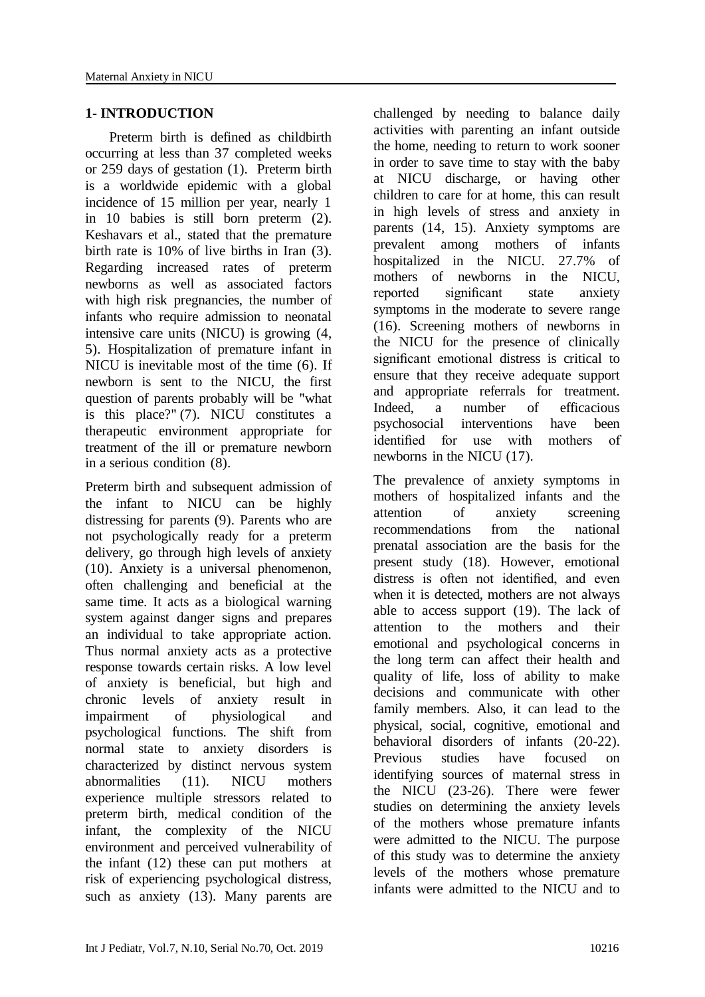#### **1- INTRODUCTION**

 Preterm birth is defined as childbirth occurring at less than 37 completed weeks or 259 days of gestation [\(1\)](#page-7-0). Preterm birth is a worldwide epidemic with a global incidence of 15 million per year, nearly 1 in 10 babies is still born preterm [\(2\)](#page-7-1). Keshavars et al., stated that the premature birth rate is 10% of live births in Iran [\(3\)](#page-7-2). Regarding increased rates of preterm newborns as well as associated factors with high risk pregnancies, the number of infants who require admission to neonatal intensive care units (NICU) is growing [\(4,](#page-7-3) [5\)](#page-7-4). Hospitalization of premature infant in NICU is inevitable most of the time [\(6\)](#page-7-5). If newborn is sent to the NICU, the first question of parents probably will be "what is this place?" [\(7\)](#page-8-0). NICU constitutes a therapeutic environment appropriate for treatment of the ill or premature newborn in a serious condition [\(8\)](#page-8-1).

Preterm birth and subsequent admission of the infant to NICU can be highly distressing for parents [\(9\)](#page-8-2). Parents who are not psychologically ready for a preterm delivery, go through high levels of anxiety [\(10\)](#page-8-3). Anxiety is a universal phenomenon, often challenging and beneficial at the same time. It acts as a biological warning system against danger signs and prepares an individual to take appropriate action. Thus normal anxiety acts as a protective response towards certain risks. A low level of anxiety is beneficial, but high and chronic levels of anxiety result in impairment of physiological and psychological functions. The shift from normal state to anxiety disorders is characterized by distinct nervous system abnormalities [\(11\)](#page-8-4). NICU mothers experience multiple stressors related to preterm birth, medical condition of the infant, the complexity of the NICU environment and perceived vulnerability of the infant [\(12\)](#page-8-5) these can put mothers at risk of experiencing psychological distress, such as anxiety [\(13\)](#page-8-6). Many parents are

challenged by needing to balance daily activities with parenting an infant outside the home, needing to return to work sooner in order to save time to stay with the baby at NICU discharge, or having other children to care for at home, this can result in high levels of stress and anxiety in parents [\(14,](#page-8-7) [15\)](#page-8-8). Anxiety symptoms are prevalent among mothers of infants hospitalized in the NICU. 27.7% of mothers of newborns in the NICU, reported significant state anxiety symptoms in the moderate to severe range [\(16\)](#page-8-9). Screening mothers of newborns in the NICU for the presence of clinically significant emotional distress is critical to ensure that they receive adequate support and appropriate referrals for treatment. Indeed, a number of efficacious psychosocial interventions have been identified for use with mothers of newborns in the NICU [\(17\)](#page-8-10).

The prevalence of anxiety symptoms in mothers of hospitalized infants and the attention of anxiety screening recommendations from the national prenatal association are the basis for the present study (18). However, emotional distress is often not identified, and even when it is detected, mothers are not always able to access support [\(19\)](#page-8-11). The lack of attention to the mothers and their emotional and psychological concerns in the long term can affect their health and quality of life, loss of ability to make decisions and communicate with other family members. Also, it can lead to the physical, social, cognitive, emotional and behavioral disorders of infants [\(20-22\)](#page-8-12). Previous studies have focused on identifying sources of maternal stress in the NICU [\(23-26\)](#page-8-13). There were fewer studies on determining the anxiety levels of the mothers whose premature infants were admitted to the NICU. The purpose of this study was to determine the anxiety levels of the mothers whose premature infants were admitted to the NICU and to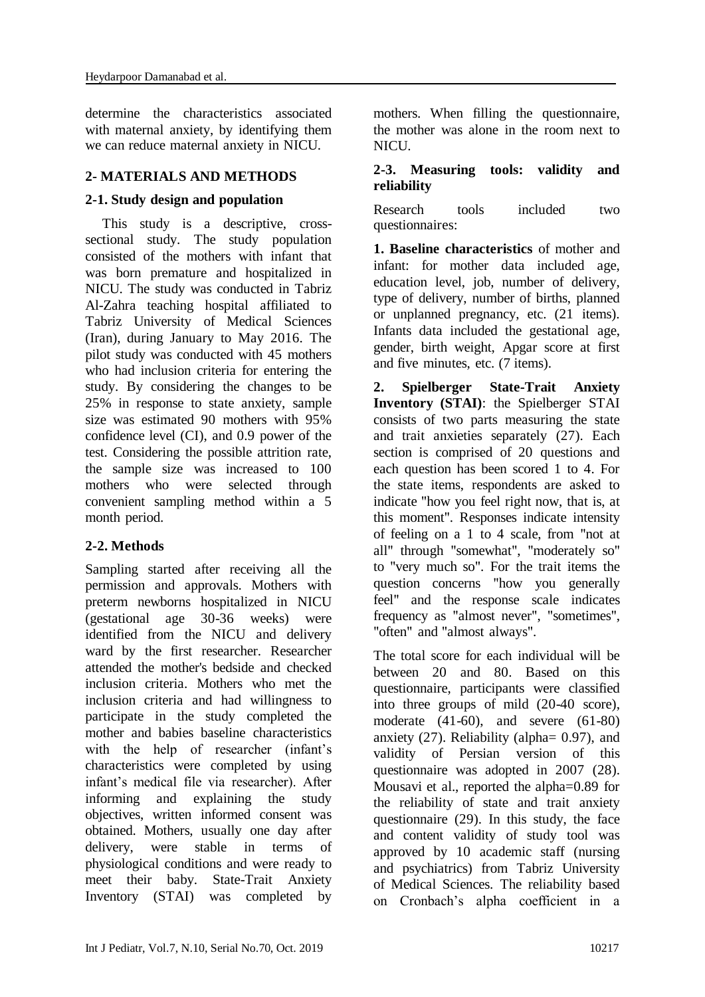determine the characteristics associated with maternal anxiety, by identifying them we can reduce maternal anxiety in NICU.

### **2- MATERIALS AND METHODS**

# **2-1. Study design and population**

 This study is a descriptive, crosssectional study. The study population consisted of the mothers with infant that was born premature and hospitalized in NICU. The study was conducted in Tabriz Al-Zahra teaching hospital affiliated to Tabriz University of Medical Sciences (Iran), during January to May 2016. The pilot study was conducted with 45 mothers who had inclusion criteria for entering the study. By considering the changes to be 25% in response to state anxiety, sample size was estimated 90 mothers with 95% confidence level (CI), and 0.9 power of the test. Considering the possible attrition rate, the sample size was increased to 100 mothers who were selected through convenient sampling method within a 5 month period.

# **2-2. Methods**

Sampling started after receiving all the permission and approvals. Mothers with preterm newborns hospitalized in NICU (gestational age 30-36 weeks) were identified from the NICU and delivery ward by the first researcher. Researcher attended the mother's bedside and checked inclusion criteria. Mothers who met the inclusion criteria and had willingness to participate in the study completed the mother and babies baseline characteristics with the help of researcher (infant's characteristics were completed by using infant's medical file via researcher). After informing and explaining the study objectives, written informed consent was obtained. Mothers, usually one day after delivery, were stable in terms of physiological conditions and were ready to meet their baby. State-Trait Anxiety Inventory (STAI) was completed by mothers. When filling the questionnaire, the mother was alone in the room next to NICU.

### **2-3. Measuring tools: validity and reliability**

Research tools included two questionnaires:

**1. Baseline characteristics** of mother and infant: for mother data included age, education level, job, number of delivery, type of delivery, number of births, planned or unplanned pregnancy, etc. (21 items). Infants data included the gestational age, gender, birth weight, Apgar score at first and five minutes, etc. (7 items).

**2. Spielberger State-Trait Anxiety Inventory (STAI)**: the Spielberger STAI consists of two parts measuring the state and trait anxieties separately [\(27\)](#page-9-0). Each section is comprised of 20 questions and each question has been scored 1 to 4. For the state items, respondents are asked to indicate "how you feel right now, that is, at this moment". Responses indicate intensity of feeling on a 1 to 4 scale, from "not at all" through "somewhat", "moderately so" to "very much so". For the trait items the question concerns "how you generally feel" and the response scale indicates frequency as "almost never", "sometimes", "often" and "almost always".

The total score for each individual will be between 20 and 80. Based on this questionnaire, participants were classified into three groups of mild (20-40 score), moderate (41-60), and severe (61-80) anxiety [\(27\)](#page-9-0). Reliability (alpha= 0.97), and validity of Persian version of this questionnaire was adopted in 2007 [\(28\)](#page-9-1). Mousavi et al., reported the alpha=0.89 for the reliability of state and trait anxiety questionnaire [\(29\)](#page-9-2). In this study, the face and content validity of study tool was approved by 10 academic staff (nursing and psychiatrics) from Tabriz University of Medical Sciences. The reliability based on Cronbach's alpha coefficient in a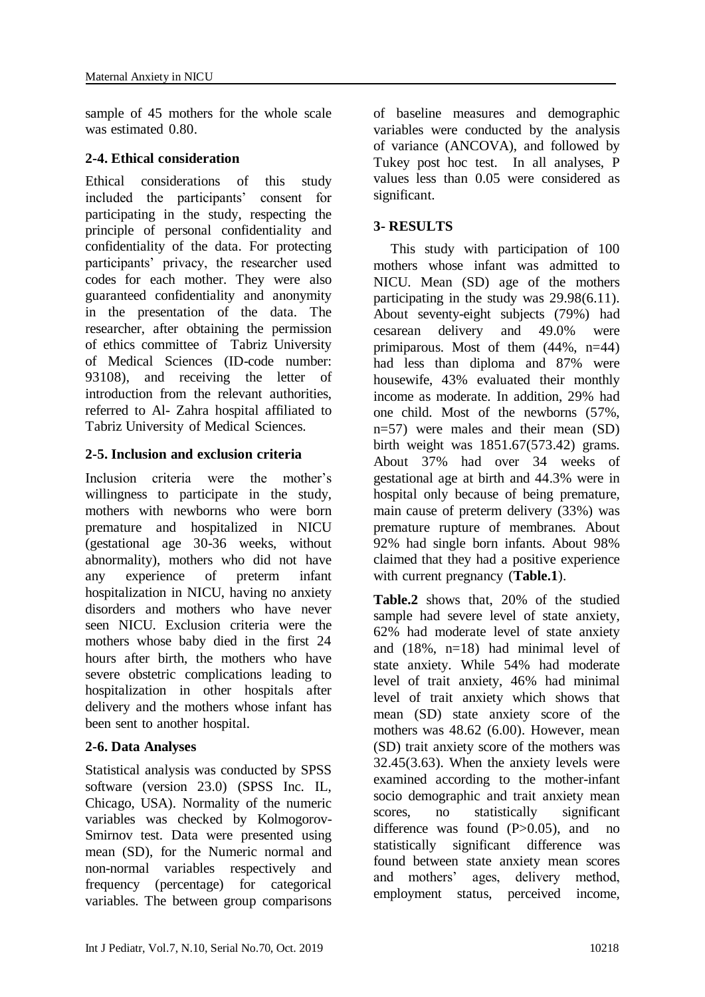sample of 45 mothers for the whole scale was estimated 0.80.

#### **2-4. Ethical consideration**

Ethical considerations of this study included the participants' consent for participating in the study, respecting the principle of personal confidentiality and confidentiality of the data. For protecting participants' privacy, the researcher used codes for each mother. They were also guaranteed confidentiality and anonymity in the presentation of the data. The researcher, after obtaining the permission of ethics committee of Tabriz University of Medical Sciences (ID-code number: 93108), and receiving the letter of introduction from the relevant authorities, referred to Al- Zahra hospital affiliated to Tabriz University of Medical Sciences.

# **2-5. Inclusion and exclusion criteria**

Inclusion criteria were the mother's willingness to participate in the study, mothers with newborns who were born premature and hospitalized in NICU (gestational age 30-36 weeks, without abnormality), mothers who did not have any experience of preterm infant hospitalization in NICU, having no anxiety disorders and mothers who have never seen NICU. Exclusion criteria were the mothers whose baby died in the first 24 hours after birth, the mothers who have severe obstetric complications leading to hospitalization in other hospitals after delivery and the mothers whose infant has been sent to another hospital.

#### **2-6. Data Analyses**

Statistical analysis was conducted by SPSS software (version 23.0) (SPSS Inc. IL, Chicago, USA). Normality of the numeric variables was checked by Kolmogorov-Smirnov test. Data were presented using mean (SD), for the Numeric normal and non-normal variables respectively and frequency (percentage) for categorical variables. The between group comparisons of baseline measures and demographic variables were conducted by the analysis of variance (ANCOVA), and followed by Tukey post hoc test. In all analyses, P values less than 0.05 were considered as significant.

# **3- RESULTS**

 This study with participation of 100 mothers whose infant was admitted to NICU. Mean (SD) age of the mothers participating in the study was 29.98(6.11). About seventy-eight subjects (79%) had cesarean delivery and 49.0% were primiparous. Most of them  $(44\%, n=44)$ had less than diploma and 87% were housewife, 43% evaluated their monthly income as moderate. In addition, 29% had one child. Most of the newborns (57%, n=57) were males and their mean (SD) birth weight was 1851.67(573.42) grams. About 37% had over 34 weeks of gestational age at birth and 44.3% were in hospital only because of being premature, main cause of preterm delivery (33%) was premature rupture of membranes. About 92% had single born infants. About 98% claimed that they had a positive experience with current pregnancy (**Table.1**).

**Table.2** shows that, 20% of the studied sample had severe level of state anxiety, 62% had moderate level of state anxiety and (18%, n=18) had minimal level of state anxiety. While 54% had moderate level of trait anxiety, 46% had minimal level of trait anxiety which shows that mean (SD) state anxiety score of the mothers was 48.62 (6.00). However, mean (SD) trait anxiety score of the mothers was 32.45(3.63). When the anxiety levels were examined according to the mother-infant socio demographic and trait anxiety mean scores, no statistically significant difference was found  $(P>0.05)$ , and no statistically significant difference was found between state anxiety mean scores and mothers' ages, delivery method, employment status, perceived income,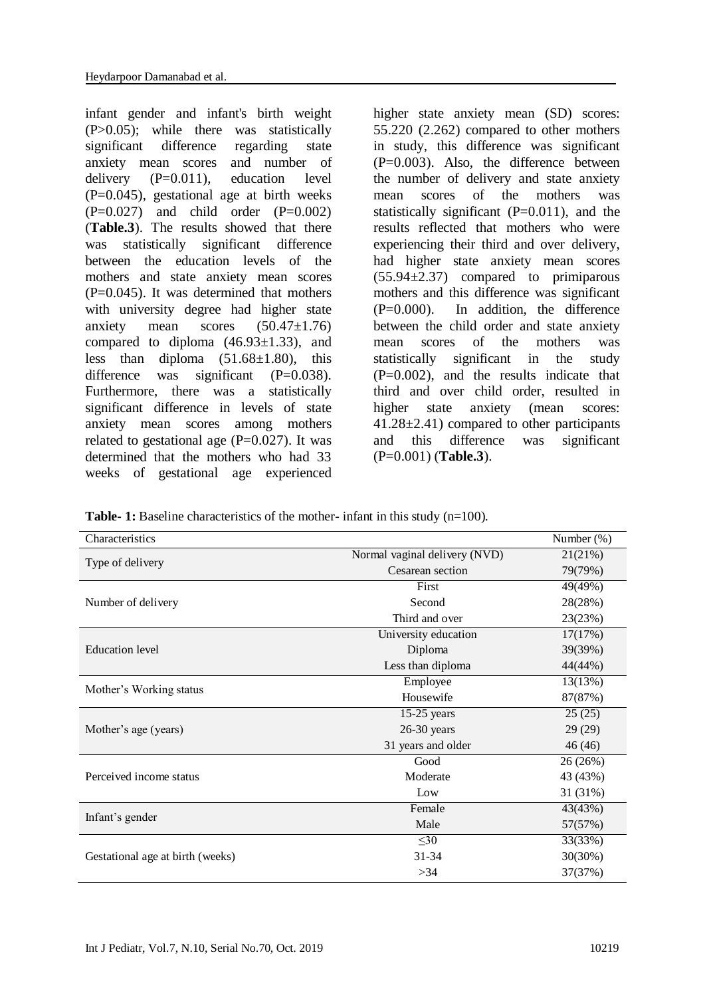infant gender and infant's birth weight (P>0.05); while there was statistically significant difference regarding state anxiety mean scores and number of delivery (P=0.011), education level  $(P=0.045)$ , gestational age at birth weeks  $(P=0.027)$  and child order  $(P=0.002)$ (**Table.3**). The results showed that there was statistically significant difference between the education levels of the mothers and state anxiety mean scores  $(P=0.045)$ . It was determined that mothers with university degree had higher state anxiety mean scores (50.47±1.76) compared to diploma  $(46.93\pm1.33)$ , and less than diploma  $(51.68\pm1.80)$ , this difference was significant  $(P=0.038)$ . Furthermore, there was a statistically significant difference in levels of state anxiety mean scores among mothers related to gestational age  $(P=0.027)$ . It was determined that the mothers who had 33 weeks of gestational age experienced

higher state anxiety mean (SD) scores: 55.220 (2.262) compared to other mothers in study, this difference was significant  $(P=0.003)$ . Also, the difference between the number of delivery and state anxiety mean scores of the mothers was statistically significant  $(P=0.011)$ , and the results reflected that mothers who were experiencing their third and over delivery, had higher state anxiety mean scores (55.94±2.37) compared to primiparous mothers and this difference was significant (P=0.000). In addition, the difference between the child order and state anxiety mean scores of the mothers was statistically significant in the study  $(P=0.002)$ , and the results indicate that third and over child order, resulted in higher state anxiety (mean scores: 41.28±2.41) compared to other participants and this difference was significant (P=0.001) (**Table.3**).

**Table-1:** Baseline characteristics of the mother- infant in this study (n=100).

| Characteristics                  |                               | Number (%) |
|----------------------------------|-------------------------------|------------|
|                                  | Normal vaginal delivery (NVD) | 21(21%)    |
| Type of delivery                 | Cesarean section              | 79(79%)    |
|                                  | First                         | 49(49%)    |
| Number of delivery               | Second                        | 28(28%)    |
|                                  | Third and over                | 23(23%)    |
|                                  | University education          | 17(17%)    |
| <b>Education</b> level           | Diploma                       | 39(39%)    |
|                                  | Less than diploma             | 44(44%)    |
|                                  | Employee                      | 13(13%)    |
| Mother's Working status          | Housewife                     | 87(87%)    |
|                                  | $15-25$ years                 | 25(25)     |
| Mother's age (years)             | $26-30$ years                 | 29 (29)    |
|                                  | 31 years and older            | 46 (46)    |
|                                  | Good                          | 26 (26%)   |
| Perceived income status          | Moderate                      | 43 (43%)   |
|                                  | Low                           | 31 (31%)   |
|                                  | Female                        | 43(43%)    |
| Infant's gender                  | Male                          | 57(57%)    |
|                                  | $\leq 30$                     | 33(33%)    |
| Gestational age at birth (weeks) | $31 - 34$                     | 30(30%)    |
|                                  | >34                           | 37(37%)    |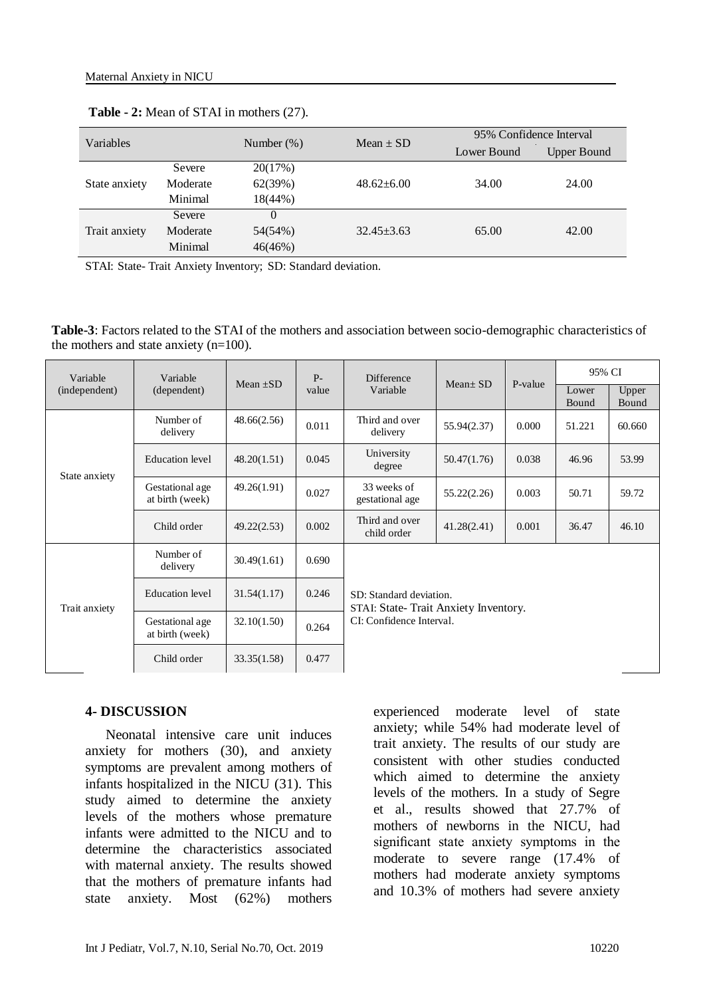| Variables     |          | Number $(\%)$ | Mean $\pm$ SD    | 95% Confidence Interval |                    |  |
|---------------|----------|---------------|------------------|-------------------------|--------------------|--|
|               |          |               |                  | Lower Bound             | <b>Upper Bound</b> |  |
| State anxiety | Severe   | 20(17%)       |                  | 34.00                   | 24.00              |  |
|               | Moderate | 62(39%)       | $48.62 \pm 6.00$ |                         |                    |  |
|               | Minimal  | $18(44\%)$    |                  |                         |                    |  |
| Trait anxiety | Severe   | $\Omega$      |                  | 65.00                   | 42.00              |  |
|               | Moderate | 54(54%)       | $32.45 \pm 3.63$ |                         |                    |  |
|               | Minimal  | 46(46%)       |                  |                         |                    |  |

**Table - 2:** Mean of STAI in mothers [\(27\)](#page-9-0).

STAI: State- Trait Anxiety Inventory; SD: Standard deviation.

**Table-3**: Factors related to the STAI of the mothers and association between socio-demographic characteristics of the mothers and state anxiety (n=100).

| Variable<br>(independent) | Variable<br>(dependent)            | Mean $\pm SD$ | $P -$<br>value | <b>Difference</b><br>Variable                                                               | $Mean \pm SD$ | P-value | 95% CI         |                |  |
|---------------------------|------------------------------------|---------------|----------------|---------------------------------------------------------------------------------------------|---------------|---------|----------------|----------------|--|
|                           |                                    |               |                |                                                                                             |               |         | Lower<br>Bound | Upper<br>Bound |  |
| State anxiety             | Number of<br>delivery              | 48.66(2.56)   | 0.011          | Third and over<br>delivery                                                                  | 55.94(2.37)   | 0.000   | 51.221         | 60.660         |  |
|                           | <b>Education</b> level             | 48.20(1.51)   | 0.045          | University<br>degree                                                                        | 50.47(1.76)   | 0.038   | 46.96          | 53.99          |  |
|                           | Gestational age<br>at birth (week) | 49.26(1.91)   | 0.027          | 33 weeks of<br>gestational age                                                              | 55.22(2.26)   | 0.003   | 50.71          | 59.72          |  |
|                           | Child order                        | 49.22(2.53)   | 0.002          | Third and over<br>child order                                                               | 41.28(2.41)   | 0.001   | 36.47          | 46.10          |  |
| Trait anxiety             | Number of<br>delivery              | 30.49(1.61)   | 0.690          | SD: Standard deviation.<br>STAI: State-Trait Anxiety Inventory.<br>CI: Confidence Interval. |               |         |                |                |  |
|                           | <b>Education</b> level             | 31.54(1.17)   | 0.246          |                                                                                             |               |         |                |                |  |
|                           | Gestational age<br>at birth (week) | 32.10(1.50)   | 0.264          |                                                                                             |               |         |                |                |  |
|                           | Child order                        | 33.35(1.58)   | 0.477          |                                                                                             |               |         |                |                |  |

#### **4- DISCUSSION**

 Neonatal intensive care unit induces anxiety for mothers [\(30\)](#page-9-3), and anxiety symptoms are prevalent among mothers of infants hospitalized in the NICU [\(31\)](#page-9-4). This study aimed to determine the anxiety levels of the mothers whose premature infants were admitted to the NICU and to determine the characteristics associated with maternal anxiety. The results showed that the mothers of premature infants had state anxiety. Most (62%) mothers experienced moderate level of state anxiety; while 54% had moderate level of trait anxiety. The results of our study are consistent with other studies conducted which aimed to determine the anxiety levels of the mothers. In a study of Segre et al., results showed that 27.7% of mothers of newborns in the NICU, had significant state anxiety symptoms in the moderate to severe range (17.4% of mothers had moderate anxiety symptoms and 10.3% of mothers had severe anxiety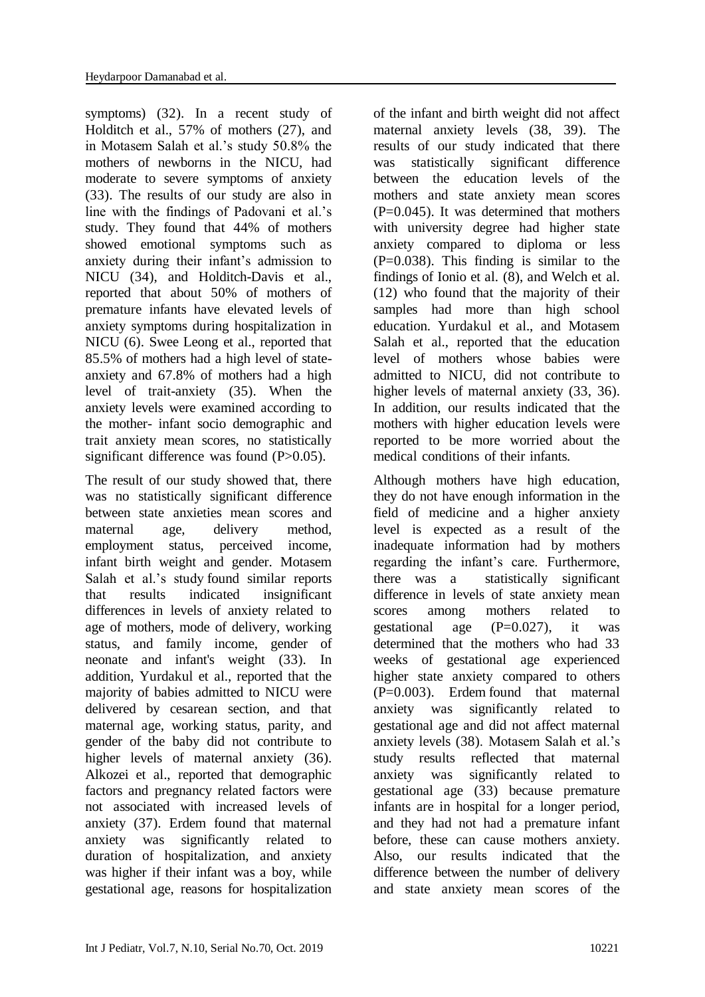symptoms) [\(32\)](#page-9-5). In a recent study of Holditch et al., 57% of mothers (27), and in Motasem Salah et al.'s study 50.8% the mothers of newborns in the NICU, had moderate to severe symptoms of anxiety [\(33\)](#page-9-6). The results of our study are also in line with the findings of Padovani et al.'s study. They found that 44% of mothers showed emotional symptoms such as anxiety during their infant's admission to NICU [\(34\)](#page-9-7), and Holditch-Davis et al., reported that about 50% of mothers of premature infants have elevated levels of anxiety symptoms during hospitalization in NICU [\(6\)](#page-7-5). [Swee Leong](https://www.tandfonline.com/author/Ong%2C+Swee+Leong) et al., reported that 85.5% of mothers had a high level of stateanxiety and 67.8% of mothers had a high level of trait-anxiety [\(35\)](#page-9-8). When the anxiety levels were examined according to the mother- infant socio demographic and trait anxiety mean scores, no statistically significant difference was found (P>0.05).

The result of our study showed that, there was no statistically significant difference between state anxieties mean scores and maternal age, delivery method, employment status, perceived income, infant birth weight and gender. Motasem Salah et al.'s study found similar reports that results indicated insignificant differences in levels of anxiety related to age of mothers, mode of delivery, working status, and family income, gender of neonate and infant's weight [\(33\)](#page-9-6). In addition, Yurdakul et al., reported that the majority of babies admitted to NICU were delivered by cesarean section, and that maternal age, working status, parity, and gender of the baby did not contribute to higher levels of maternal anxiety [\(36\)](#page-9-9). Alkozei et al., reported that demographic factors and pregnancy related factors were not associated with increased levels of anxiety [\(37\)](#page-9-10). Erdem found that maternal anxiety was significantly related to duration of hospitalization, and anxiety was higher if their infant was a boy, while gestational age, reasons for hospitalization

of the infant and birth weight did not affect maternal anxiety levels [\(38,](#page-9-11) [39\)](#page-9-12). The results of our study indicated that there was statistically significant difference between the education levels of the mothers and state anxiety mean scores (P=0.045). It was determined that mothers with university degree had higher state anxiety compared to diploma or less  $(P=0.038)$ . This finding is similar to the findings of Ionio et al. [\(8\)](#page-8-1), and Welch et al. [\(12\)](#page-8-5) who found that the majority of their samples had more than high school education. Yurdakul et al., and Motasem Salah et al., reported that the education level of mothers whose babies were admitted to NICU, did not contribute to higher levels of maternal anxiety  $(33, 36)$  $(33, 36)$ . In addition, our results indicated that the mothers with higher education levels were reported to be more worried about the medical conditions of their infants.

Although mothers have high education, they do not have enough information in the field of medicine and a higher anxiety level is expected as a result of the inadequate information had by mothers regarding the infant's care. Furthermore, there was a statistically significant difference in levels of state anxiety mean scores among mothers related to gestational age  $(P=0.027)$ , it was determined that the mothers who had 33 weeks of gestational age experienced higher state anxiety compared to others (P=0.003). Erdem found that maternal anxiety was significantly related to gestational age and did not affect maternal anxiety levels [\(38\)](#page-9-11). Motasem Salah et al.'s study results reflected that maternal anxiety was significantly related to gestational age [\(33\)](#page-9-6) because premature infants are in hospital for a longer period, and they had not had a premature infant before, these can cause mothers anxiety. Also, our results indicated that the difference between the number of delivery and state anxiety mean scores of the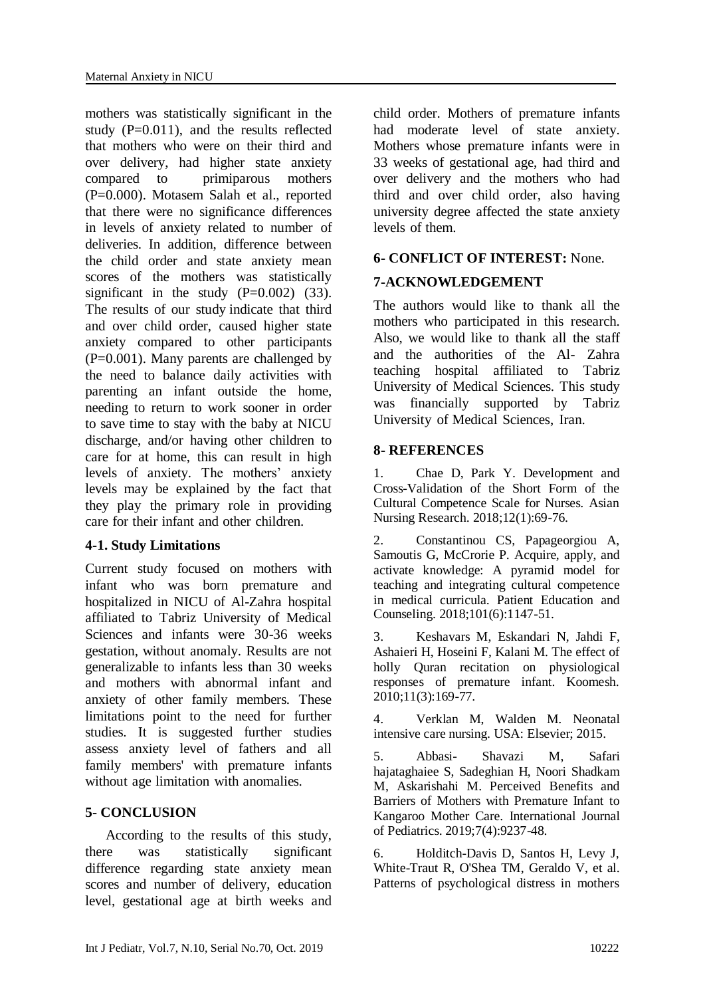mothers was statistically significant in the study  $(P=0.011)$ , and the results reflected that mothers who were on their third and over delivery, had higher state anxiety compared to primiparous mothers (P=0.000). Motasem Salah et al., reported that there were no significance differences in levels of anxiety related to number of deliveries. In addition, difference between the child order and state anxiety mean scores of the mothers was statistically significant in the study  $(P=0.002)$  [\(33\)](#page-9-6). The results of our study indicate that third and over child order, caused higher state anxiety compared to other participants  $(P=0.001)$ . Many parents are challenged by the need to balance daily activities with parenting an infant outside the home, needing to return to work sooner in order to save time to stay with the baby at NICU discharge, and/or having other children to care for at home, this can result in high levels of anxiety. The mothers' anxiety levels may be explained by the fact that they play the primary role in providing care for their infant and other children.

#### **4-1. Study Limitations**

Current study focused on mothers with infant who was born premature and hospitalized in NICU of Al-Zahra hospital affiliated to Tabriz University of Medical Sciences and infants were 30-36 weeks gestation, without anomaly. Results are not generalizable to infants less than 30 weeks and mothers with abnormal infant and anxiety of other family members. These limitations point to the need for further studies. It is suggested further studies assess anxiety level of fathers and all family members' with premature infants without age limitation with anomalies.

#### **5- CONCLUSION**

 According to the results of this study, there was statistically significant difference regarding state anxiety mean scores and number of delivery, education level, gestational age at birth weeks and child order. Mothers of premature infants had moderate level of state anxiety. Mothers whose premature infants were in 33 weeks of gestational age, had third and over delivery and the mothers who had third and over child order, also having university degree affected the state anxiety levels of them.

#### **6- CONFLICT OF INTEREST:** None.

# **7-ACKNOWLEDGEMENT**

The authors would like to thank all the mothers who participated in this research. Also, we would like to thank all the staff and the authorities of the Al- Zahra teaching hospital affiliated to Tabriz University of Medical Sciences. This study was financially supported by Tabriz University of Medical Sciences, Iran.

#### **8- REFERENCES**

<span id="page-7-0"></span>1. Chae D, Park Y. Development and Cross-Validation of the Short Form of the Cultural Competence Scale for Nurses. Asian Nursing Research. 2018;12(1):69-76.

<span id="page-7-1"></span>2. Constantinou CS, Papageorgiou A, Samoutis G, McCrorie P. Acquire, apply, and activate knowledge: A pyramid model for teaching and integrating cultural competence in medical curricula. Patient Education and Counseling. 2018;101(6):1147-51.

<span id="page-7-2"></span>3. Keshavars M, Eskandari N, Jahdi F, Ashaieri H, Hoseini F, Kalani M. The effect of holly Quran recitation on physiological responses of premature infant. Koomesh. 2010;11(3):169-77.

<span id="page-7-3"></span>4. Verklan M, Walden M. Neonatal intensive care nursing. USA: Elsevier; 2015.

<span id="page-7-4"></span>5. Abbasi- Shavazi M, Safari hajataghaiee S, Sadeghian H, Noori Shadkam M, Askarishahi M. Perceived Benefits and Barriers of Mothers with Premature Infant to Kangaroo Mother Care. International Journal of Pediatrics. 2019;7(4):9237-48.

<span id="page-7-5"></span>6. Holditch-Davis D, Santos H, Levy J, White-Traut R, O'Shea TM, Geraldo V, et al. Patterns of psychological distress in mothers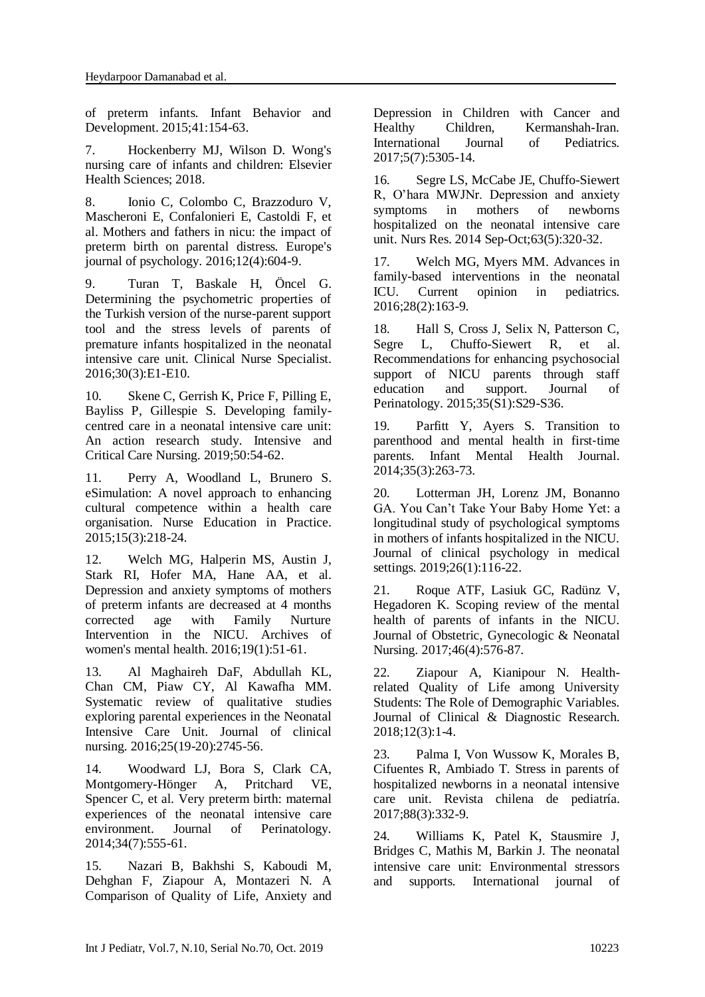of preterm infants. Infant Behavior and Development. 2015;41:154-63.

<span id="page-8-0"></span>7. Hockenberry MJ, Wilson D. Wong's nursing care of infants and children: Elsevier Health Sciences; 2018.

<span id="page-8-1"></span>8. Ionio C, Colombo C, Brazzoduro V, Mascheroni E, Confalonieri E, Castoldi F, et al. Mothers and fathers in nicu: the impact of preterm birth on parental distress. Europe's journal of psychology. 2016;12(4):604-9.

<span id="page-8-2"></span>9. Turan T, Baskale H, Öncel G. Determining the psychometric properties of the Turkish version of the nurse-parent support tool and the stress levels of parents of premature infants hospitalized in the neonatal intensive care unit. Clinical Nurse Specialist. 2016;30(3):E1-E10.

<span id="page-8-3"></span>10. Skene C, Gerrish K, Price F, Pilling E, Bayliss P, Gillespie S. Developing familycentred care in a neonatal intensive care unit: An action research study. Intensive and Critical Care Nursing. 2019;50:54-62.

<span id="page-8-4"></span>11. Perry A, Woodland L, Brunero S. eSimulation: A novel approach to enhancing cultural competence within a health care organisation. Nurse Education in Practice. 2015;15(3):218-24.

<span id="page-8-5"></span>12. Welch MG, Halperin MS, Austin J, Stark RI, Hofer MA, Hane AA, et al. Depression and anxiety symptoms of mothers of preterm infants are decreased at 4 months corrected age with Family Nurture Intervention in the NICU. Archives of women's mental health. 2016;19(1):51-61.

<span id="page-8-6"></span>13. Al Maghaireh DaF, Abdullah KL, Chan CM, Piaw CY, Al Kawafha MM. Systematic review of qualitative studies exploring parental experiences in the Neonatal Intensive Care Unit. Journal of clinical nursing. 2016;25(19-20):2745-56.

<span id="page-8-7"></span>14. Woodward LJ, Bora S, Clark CA, Montgomery-Hönger A, Pritchard VE, Spencer C, et al. Very preterm birth: maternal experiences of the neonatal intensive care environment. Journal of Perinatology. 2014;34(7):555-61.

<span id="page-8-8"></span>15. Nazari B, Bakhshi S, Kaboudi M, Dehghan F, Ziapour A, Montazeri N. A Comparison of Quality of Life, Anxiety and Depression in Children with Cancer and<br>Healthy Children. Kermanshah-Iran. Healthy Children, Kermanshah-Iran. International Journal of Pediatrics. 2017;5(7):5305-14.

<span id="page-8-9"></span>16. Segre LS, McCabe JE, Chuffo-Siewert R, O'hara MWJNr. Depression and anxiety symptoms in mothers of newborns hospitalized on the neonatal intensive care unit. [Nurs Res.](https://www.ncbi.nlm.nih.gov/pubmed/25171558) 2014 Sep-Oct;63(5):320-32.

<span id="page-8-10"></span>17. Welch MG, Myers MM. Advances in family-based interventions in the neonatal ICU. Current opinion in pediatrics. 2016;28(2):163-9.

18. Hall S, Cross J, Selix N, Patterson C, Segre L, Chuffo-Siewert R, et al. Recommendations for enhancing psychosocial support of NICU parents through staff education and support. Journal of Perinatology. 2015;35(S1):S29-S36.

<span id="page-8-11"></span>19. Parfitt Y, Ayers S. Transition to parenthood and mental health in first‐time parents. Infant Mental Health Journal. 2014;35(3):263-73.

<span id="page-8-12"></span>20. Lotterman JH, Lorenz JM, Bonanno GA. You Can't Take Your Baby Home Yet: a longitudinal study of psychological symptoms in mothers of infants hospitalized in the NICU. Journal of clinical psychology in medical settings. 2019;26(1):116-22.

21. Roque ATF, Lasiuk GC, Radünz V, Hegadoren K. Scoping review of the mental health of parents of infants in the NICU. Journal of Obstetric, Gynecologic & Neonatal Nursing. 2017;46(4):576-87.

22. Ziapour A, Kianipour N. Healthrelated Quality of Life among University Students: The Role of Demographic Variables. Journal of Clinical & Diagnostic Research. 2018;12(3):1-4.

<span id="page-8-13"></span>23. Palma I, Von Wussow K, Morales B, Cifuentes R, Ambiado T. Stress in parents of hospitalized newborns in a neonatal intensive care unit. Revista chilena de pediatría. 2017;88(3):332-9.

24. Williams K, Patel K, Stausmire J, Bridges C, Mathis M, Barkin J. The neonatal intensive care unit: Environmental stressors and supports. International journal of